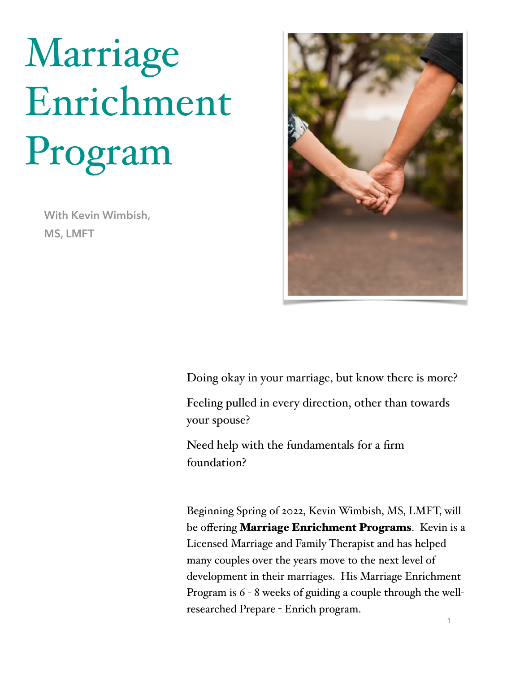## Marriage Enrichment Program

**With Kevin Wimbish, MS, LMFT**



Doing okay in your marriage, but know there is more?

Feeling pulled in every direction, other than towards your spouse?

Need help with the fundamentals for a firm foundation?

Beginning Spring of 2022, Kevin Wimbish, MS, LMFT, will be offering **Marriage Enrichment Programs**. Kevin is a Licensed Marriage and Family Therapist and has helped many couples over the years move to the next level of development in their marriages. His Marriage Enrichment Program is 6 - 8 weeks of guiding a couple through the wellresearched Prepare - Enrich program.

**1**